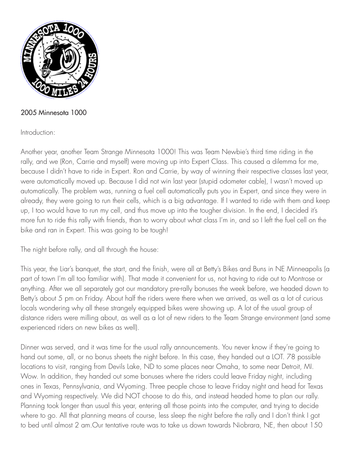

## 2005 Minnesota 1000

## Introduction:

Another year, another Team Strange Minnesota 1000! This was Team Newbie's third time riding in the rally, and we (Ron, Carrie and myself) were moving up into Expert Class. This caused a dilemma for me, because I didn't have to ride in Expert. Ron and Carrie, by way of winning their respective classes last year, were automatically moved up. Because I did not win last year (stupid odometer cable), I wasn't moved up automatically. The problem was, running a fuel cell automatically puts you in Expert, and since they were in already, they were going to run their cells, which is a big advantage. If I wanted to ride with them and keep up, I too would have to run my cell, and thus move up into the tougher division. In the end, I decided it's more fun to ride this rally with friends, than to worry about what class I'm in, and so I left the fuel cell on the bike and ran in Expert. This was going to be tough!

The night before rally, and all through the house:

This year, the Liar's banquet, the start, and the finish, were all at Betty's Bikes and Buns in NE Minneapolis (a part of town I'm all too familiar with). That made it convenient for us, not having to ride out to Montrose or anything. After we all separately got our mandatory pre-rally bonuses the week before, we headed down to Betty's about 5 pm on Friday. About half the riders were there when we arrived, as well as a lot of curious locals wondering why all these strangely equipped bikes were showing up. A lot of the usual group of distance riders were milling about, as well as a lot of new riders to the Team Strange environment (and some experienced riders on new bikes as well).

Dinner was served, and it was time for the usual rally announcements. You never know if they're going to hand out some, all, or no bonus sheets the night before. In this case, they handed out a LOT. 78 possible locations to visit, ranging from Devils Lake, ND to some places near Omaha, to some near Detroit, MI. Wow. In addition, they handed out some bonuses where the riders could leave Friday night, including ones in Texas, Pennsylvania, and Wyoming. Three people chose to leave Friday night and head for Texas and Wyoming respectively. We did NOT choose to do this, and instead headed home to plan our rally. Planning took longer than usual this year, entering all those points into the computer, and trying to decide where to go. All that planning means of course, less sleep the night before the rally and I don't think I got to bed until almost 2 am.Our tentative route was to take us down towards Niobrara, NE, then about 150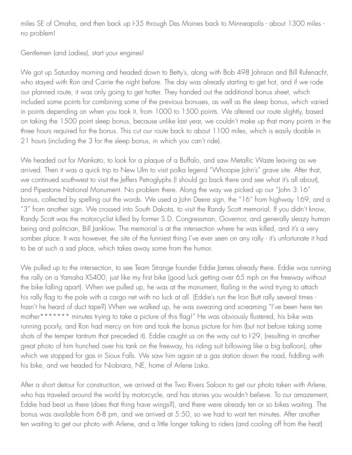miles SE of Omaha, and then back up I-35 through Des Moines back to Minneapolis - about 1300 miles no problem!

Gentlemen (and Ladies), start your engines!

We got up Saturday morning and headed down to Betty's, along with Bob 498 Johnson and Bill Rufenacht, who stayed with Ron and Carrie the night before. The day was already starting to get hot, and if we rode our planned route, it was only going to get hotter. They handed out the additional bonus sheet, which included some points for combining some of the previous bonuses, as well as the sleep bonus, which varied in points depending on when you took it, from 1000 to 1500 points. We altered our route slightly, based on taking the 1500 point sleep bonus, because unlike last year, we couldn't make up that many points in the three hours required for the bonus. This cut our route back to about 1100 miles, which is easily doable in 21 hours (including the 3 for the sleep bonus, in which you can't ride).

We headed out for Mankato, to look for a plaque of a Buffalo, and saw Metallic Waste leaving as we arrived. Then it was a quick trip to New Ulm to visit polka legend "Whoopie John's" grave site. After that, we continued southwest to visit the Jeffers Petroglyphs (I should go back there and see what it's all about), and Pipestone National Monument. No problem there. Along the way we picked up our "John 3:16" bonus, collected by spelling out the words. We used a John Deere sign, the "16" from highway 169, and a "3" from another sign. We crossed into South Dakota, to visit the Randy Scott memorial. If you didn't know, Randy Scott was the motorcyclist killed by former S.D. Congressman, Governor, and generally sleazy human being and politician, Bill Janklow. The memorial is at the intersection where he was killed, and it's a very somber place. It was however, the site of the funniest thing I've ever seen on any rally - it's unfortunate it had to be at such a sad place, which takes away some from the humor.

We pulled up to the intersection, to see Team Strange founder Eddie James already there. Eddie was running the rally on a Yamaha XS400, just like my first bike (good luck getting over 65 mph on the freeway without the bike falling apart). When we pulled up, he was at the monument, flailing in the wind trying to attach his rally flag to the pole with a cargo net with no luck at all. (Eddie's run the Iron Butt rally several times hasn't he heard of duct tape?) When we walked up, he was swearing and screaming "I've been here ten mother\*\*\*\*\*\*\* minutes trying to take a picture of this flag!" He was obviously flustered, his bike was running poorly, and Ron had mercy on him and took the bonus picture for him (but not before taking some shots of the temper tantrum that preceded it). Eddie caught us on the way out to I-29, (resulting in another great photo of him hunched over his tank on the freeway, his riding suit billowing like a big balloon), after which we stopped for gas in Sioux Falls. We saw him again at a gas station down the road, fiddling with his bike, and we headed for Niobrara, NE, home of Arlene Liska.

After a short detour for construction, we arrived at the Two Rivers Saloon to get our photo taken with Arlene, who has traveled around the world by motorcycle, and has stories you wouldn't believe. To our amazement, Eddie had beat us there (does that thing have wings?), and there were already ten or so bikes waiting. The bonus was available from 6-8 pm, and we arrived at 5:50, so we had to wait ten minutes. After another ten waiting to get our photo with Arlene, and a little longer talking to riders (and cooling off from the heat)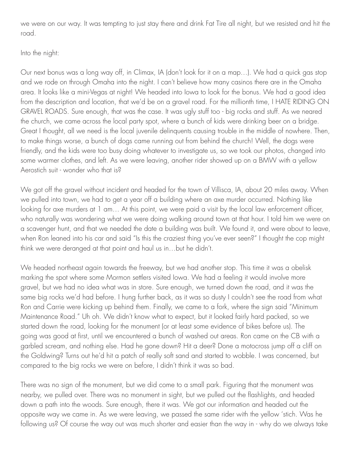we were on our way. It was tempting to just stay there and drink Fat Tire all night, but we resisted and hit the road.

## Into the night:

Our next bonus was a long way off, in Climax, IA (don't look for it on a map…). We had a quick gas stop and we rode on through Omaha into the night. I can't believe how many casinos there are in the Omaha area. It looks like a mini-Vegas at night! We headed into Iowa to look for the bonus. We had a good idea from the description and location, that we'd be on a gravel road. For the millionth time, I HATE RIDING ON GRAVEL ROADS. Sure enough, that was the case. It was ugly stuff too - big rocks and stuff. As we neared the church, we came across the local party spot, where a bunch of kids were drinking beer on a bridge. Great I thought, all we need is the local juvenile delinquents causing trouble in the middle of nowhere. Then, to make things worse, a bunch of dogs came running out from behind the church! Well, the dogs were friendly, and the kids were too busy doing whatever to investigate us, so we took our photos, changed into some warmer clothes, and left. As we were leaving, another rider showed up on a BMW with a yellow Aerostich suit - wonder who that is?

We got off the gravel without incident and headed for the town of Villisca, IA, about 20 miles away. When we pulled into town, we had to get a year off a building where an axe murder occurred. Nothing like looking for axe murders at 1 am... At this point, we were paid a visit by the local law enforcement officer, who naturally was wondering what we were doing walking around town at that hour. I told him we were on a scavenger hunt, and that we needed the date a building was built. We found it, and were about to leave, when Ron leaned into his car and said "Is this the craziest thing you've ever seen?" I thought the cop might think we were deranged at that point and haul us in…but he didn't.

We headed northeast again towards the freeway, but we had another stop. This time it was a obelisk marking the spot where some Mormon settlers visited Iowa. We had a feeling it would involve more gravel, but we had no idea what was in store. Sure enough, we turned down the road, and it was the same big rocks we'd had before. I hung further back, as it was so dusty I couldn't see the road from what Ron and Carrie were kicking up behind them. Finally, we came to a fork, where the sign said "Minimum Maintenance Road." Uh oh. We didn't know what to expect, but it looked fairly hard packed, so we started down the road, looking for the monument (or at least some evidence of bikes before us). The going was good at first, until we encountered a bunch of washed out areas. Ron came on the CB with a garbled scream, and nothing else. Had he gone down? Hit a deer? Done a motocross jump off a cliff on the Goldwing? Turns out he'd hit a patch of really soft sand and started to wobble. I was concerned, but compared to the big rocks we were on before, I didn't think it was so bad.

There was no sign of the monument, but we did come to a small park. Figuring that the monument was nearby, we pulled over. There was no monument in sight, but we pulled out the flashlights, and headed down a path into the woods. Sure enough, there it was. We got our information and headed out the opposite way we came in. As we were leaving, we passed the same rider with the yellow 'stich. Was he following us? Of course the way out was much shorter and easier than the way in - why do we always take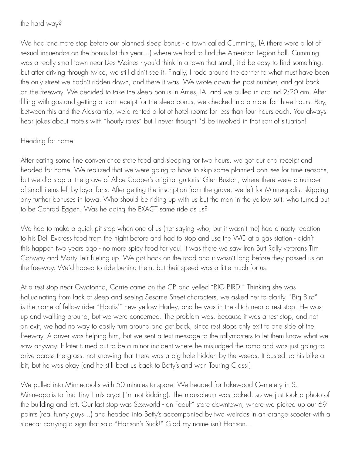the hard way?

We had one more stop before our planned sleep bonus - a town called Cumming, IA (there were a lot of sexual innuendos on the bonus list this year…) where we had to find the American Legion hall. Cumming was a really small town near Des Moines - you'd think in a town that small, it'd be easy to find something, but after driving through twice, we still didn't see it. Finally, I rode around the corner to what must have been the only street we hadn't ridden down, and there it was. We wrote down the post number, and got back on the freeway. We decided to take the sleep bonus in Ames, IA, and we pulled in around 2:20 am. After filling with gas and getting a start receipt for the sleep bonus, we checked into a motel for three hours. Boy, between this and the Alaska trip, we'd rented a lot of hotel rooms for less than four hours each. You always hear jokes about motels with "hourly rates" but I never thought I'd be involved in that sort of situation!

Heading for home:

After eating some fine convenience store food and sleeping for two hours, we got our end receipt and headed for home. We realized that we were going to have to skip some planned bonuses for time reasons, but we did stop at the grave of Alice Cooper's original guitarist Glen Buxton, where there were a number of small items left by loyal fans. After getting the inscription from the grave, we left for Minneapolis, skipping any further bonuses in Iowa. Who should be riding up with us but the man in the yellow suit, who turned out to be Conrad Eggen. Was he doing the EXACT same ride as us?

We had to make a quick pit stop when one of us (not saying who, but it wasn't me) had a nasty reaction to his Deli Express food from the night before and had to stop and use the WC at a gas station - didn't this happen two years ago - no more spicy food for you! It was there we saw Iron Butt Rally veterans Tim Conway and Marty Leir fueling up. We got back on the road and it wasn't long before they passed us on the freeway. We'd hoped to ride behind them, but their speed was a little much for us.

At a rest stop near Owatonna, Carrie came on the CB and yelled "BIG BIRD!" Thinking she was hallucinating from lack of sleep and seeing Sesame Street characters, we asked her to clarify. "Big Bird" is the name of fellow rider "Hootis'" new yellow Harley, and he was in the ditch near a rest stop. He was up and walking around, but we were concerned. The problem was, because it was a rest stop, and not an exit, we had no way to easily turn around and get back, since rest stops only exit to one side of the freeway. A driver was helping him, but we sent a text message to the rallymasters to let them know what we saw anyway. It later turned out to be a minor incident where he misjudged the ramp and was just going to drive across the grass, not knowing that there was a big hole hidden by the weeds. It busted up his bike a bit, but he was okay (and he still beat us back to Betty's and won Touring Class!)

We pulled into Minneapolis with 50 minutes to spare. We headed for Lakewood Cemetery in S. Minneapolis to find Tiny Tim's crypt (I'm not kidding). The mausoleum was locked, so we just took a photo of the building and left. Our last stop was Sexworld - an "adult" store downtown, where we picked up our 69 points (real funny guys…) and headed into Betty's accompanied by two weirdos in an orange scooter with a sidecar carrying a sign that said "Hanson's Suck!" Glad my name isn't Hanson…